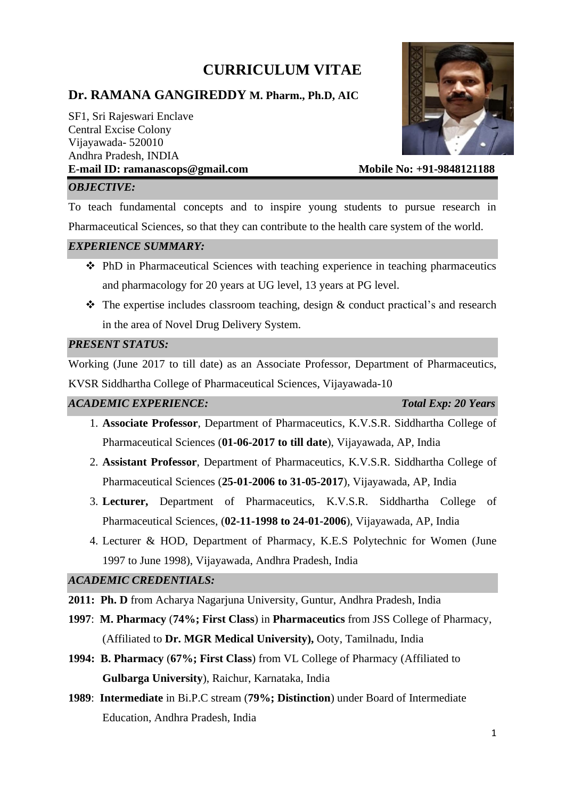# **CURRICULUM VITAE**

# **Dr. RAMANA GANGIREDDY M. Pharm., Ph.D, AIC**

SF1, Sri Rajeswari Enclave Central Excise Colony Vijayawada- 520010 Andhra Pradesh, INDIA E-mail ID: ramanascops@gmail.com Mobile No: +91-9848121188



# *OBJECTIVE:*

To teach fundamental concepts and to inspire young students to pursue research in Pharmaceutical Sciences, so that they can contribute to the health care system of the world.

#### *EXPERIENCE SUMMARY:*

- ❖ PhD in Pharmaceutical Sciences with teaching experience in teaching pharmaceutics and pharmacology for 20 years at UG level, 13 years at PG level.
- $\triangle$  The expertise includes classroom teaching, design & conduct practical's and research in the area of Novel Drug Delivery System.

#### *PRESENT STATUS:*

Working (June 2017 to till date) as an Associate Professor, Department of Pharmaceutics, KVSR Siddhartha College of Pharmaceutical Sciences, Vijayawada-10

#### *ACADEMIC EXPERIENCE: Total Exp: 20 Years*

- 1. **Associate Professor**, Department of Pharmaceutics, K.V.S.R. Siddhartha College of Pharmaceutical Sciences (**01-06-2017 to till date**), Vijayawada, AP, India
- 2. **Assistant Professor**, Department of Pharmaceutics, K.V.S.R. Siddhartha College of Pharmaceutical Sciences (**25-01-2006 to 31-05-2017**), Vijayawada, AP, India
- 3. **Lecturer,** Department of Pharmaceutics, K.V.S.R. Siddhartha College of Pharmaceutical Sciences, (**02-11-1998 to 24-01-2006**), Vijayawada, AP, India
- 4. Lecturer & HOD, Department of Pharmacy, K.E.S Polytechnic for Women (June 1997 to June 1998), Vijayawada, Andhra Pradesh, India

# *ACADEMIC CREDENTIALS:*

- **2011: Ph. D** from Acharya Nagarjuna University, Guntur, Andhra Pradesh, India
- **1997**: **M. Pharmacy** (**74%; First Class**) in **Pharmaceutics** from JSS College of Pharmacy, (Affiliated to **Dr. MGR Medical University),** Ooty, Tamilnadu, India
- **1994: B. Pharmacy** (**67%; First Class**) from VL College of Pharmacy (Affiliated to **Gulbarga University**), Raichur, Karnataka, India
- **1989**: **Intermediate** in Bi.P.C stream (**79%; Distinction**) under Board of Intermediate Education, Andhra Pradesh, India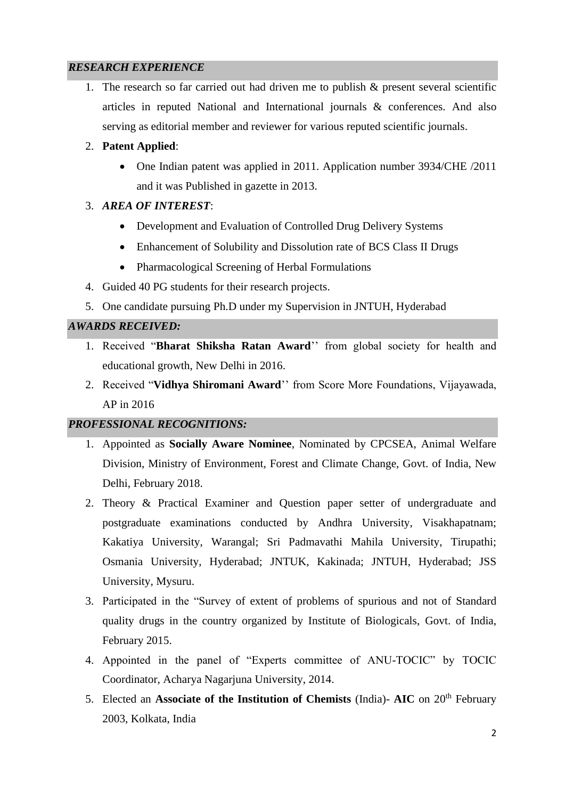# *RESEARCH EXPERIENCE*

1. The research so far carried out had driven me to publish & present several scientific articles in reputed National and International journals & conferences. And also serving as editorial member and reviewer for various reputed scientific journals.

# 2. **Patent Applied**:

• One Indian patent was applied in 2011. Application number 3934/CHE /2011 and it was Published in gazette in 2013.

# 3. *AREA OF INTEREST*:

- Development and Evaluation of Controlled Drug Delivery Systems
- Enhancement of Solubility and Dissolution rate of BCS Class II Drugs
- Pharmacological Screening of Herbal Formulations
- 4. Guided 40 PG students for their research projects.
- 5. One candidate pursuing Ph.D under my Supervision in JNTUH, Hyderabad

# *AWARDS RECEIVED:*

- 1. Received "**Bharat Shiksha Ratan Award**'' from global society for health and educational growth, New Delhi in 2016.
- 2. Received "**Vidhya Shiromani Award**'' from Score More Foundations, Vijayawada, AP in 2016

# *PROFESSIONAL RECOGNITIONS:*

- 1. Appointed as **Socially Aware Nominee**, Nominated by CPCSEA, Animal Welfare Division, Ministry of Environment, Forest and Climate Change, Govt. of India, New Delhi, February 2018.
- 2. Theory & Practical Examiner and Question paper setter of undergraduate and postgraduate examinations conducted by Andhra University, Visakhapatnam; Kakatiya University, Warangal; Sri Padmavathi Mahila University, Tirupathi; Osmania University, Hyderabad; JNTUK, Kakinada; JNTUH, Hyderabad; JSS University, Mysuru.
- 3. Participated in the "Survey of extent of problems of spurious and not of Standard quality drugs in the country organized by Institute of Biologicals, Govt. of India, February 2015.
- 4. Appointed in the panel of "Experts committee of ANU-TOCIC" by TOCIC Coordinator, Acharya Nagarjuna University, 2014.
- 5. Elected an **Associate of the Institution of Chemists** (India)- **AIC** on 20<sup>th</sup> February 2003, Kolkata, India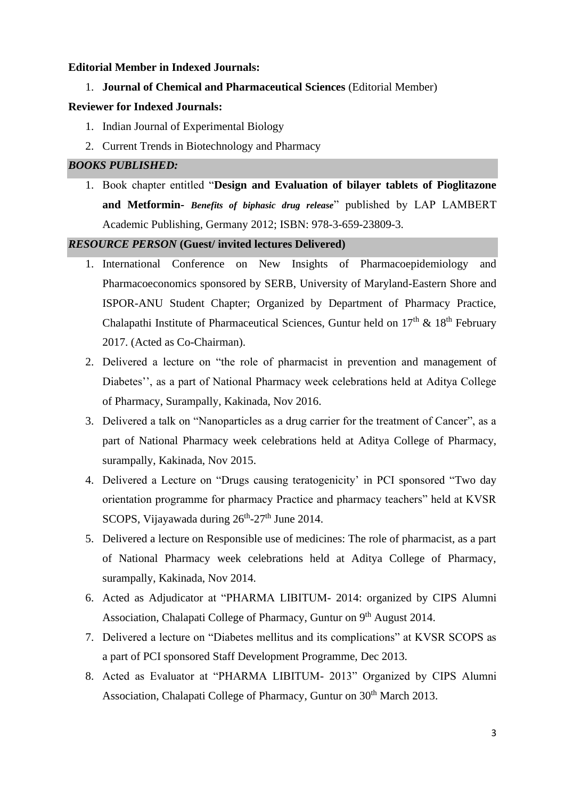#### **Editorial Member in Indexed Journals:**

1. **Journal of Chemical and Pharmaceutical Sciences** (Editorial Member)

#### **Reviewer for Indexed Journals:**

- 1. Indian Journal of Experimental Biology
- 2. Current Trends in Biotechnology and Pharmacy

#### *BOOKS PUBLISHED:*

1. Book chapter entitled "**Design and Evaluation of bilayer tablets of Pioglitazone and Metformin-** *Benefits of biphasic drug release*" published by LAP LAMBERT Academic Publishing, Germany 2012; ISBN: 978-3-659-23809-3.

#### *RESOURCE PERSON* **(Guest/ invited lectures Delivered)**

- 1. International Conference on New Insights of Pharmacoepidemiology and Pharmacoeconomics sponsored by SERB, University of Maryland-Eastern Shore and ISPOR-ANU Student Chapter; Organized by Department of Pharmacy Practice, Chalapathi Institute of Pharmaceutical Sciences, Guntur held on  $17<sup>th</sup>$  &  $18<sup>th</sup>$  February 2017. (Acted as Co-Chairman).
- 2. Delivered a lecture on "the role of pharmacist in prevention and management of Diabetes'', as a part of National Pharmacy week celebrations held at Aditya College of Pharmacy, Surampally, Kakinada, Nov 2016.
- 3. Delivered a talk on "Nanoparticles as a drug carrier for the treatment of Cancer", as a part of National Pharmacy week celebrations held at Aditya College of Pharmacy, surampally, Kakinada, Nov 2015.
- 4. Delivered a Lecture on "Drugs causing teratogenicity' in PCI sponsored "Two day orientation programme for pharmacy Practice and pharmacy teachers" held at KVSR SCOPS, Vijayawada during 26<sup>th</sup>-27<sup>th</sup> June 2014.
- 5. Delivered a lecture on Responsible use of medicines: The role of pharmacist, as a part of National Pharmacy week celebrations held at Aditya College of Pharmacy, surampally, Kakinada, Nov 2014.
- 6. Acted as Adjudicator at "PHARMA LIBITUM- 2014: organized by CIPS Alumni Association, Chalapati College of Pharmacy, Guntur on 9<sup>th</sup> August 2014.
- 7. Delivered a lecture on "Diabetes mellitus and its complications" at KVSR SCOPS as a part of PCI sponsored Staff Development Programme, Dec 2013.
- 8. Acted as Evaluator at "PHARMA LIBITUM- 2013" Organized by CIPS Alumni Association, Chalapati College of Pharmacy, Guntur on 30<sup>th</sup> March 2013.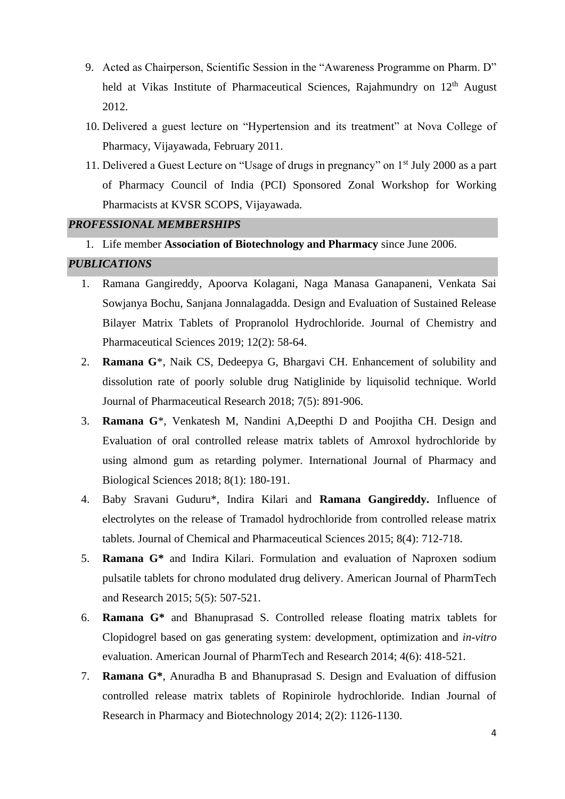- 9. Acted as Chairperson, Scientific Session in the "Awareness Programme on Pharm. D" held at Vikas Institute of Pharmaceutical Sciences, Rajahmundry on 12<sup>th</sup> August 2012.
- 10. Delivered a guest lecture on "Hypertension and its treatment" at Nova College of Pharmacy, Vijayawada, February 2011.
- 11. Delivered a Guest Lecture on "Usage of drugs in pregnancy" on 1st July 2000 as a part of Pharmacy Council of India (PCI) Sponsored Zonal Workshop for Working Pharmacists at KVSR SCOPS, Vijayawada.

#### *PROFESSIONAL MEMBERSHIPS*

1. Life member **Association of Biotechnology and Pharmacy** since June 2006.

#### *PUBLICATIONS*

- 1. Ramana Gangireddy, Apoorva Kolagani, Naga Manasa Ganapaneni, Venkata Sai Sowjanya Bochu, Sanjana Jonnalagadda. Design and Evaluation of Sustained Release Bilayer Matrix Tablets of Propranolol Hydrochloride. Journal of Chemistry and Pharmaceutical Sciences 2019; 12(2): 58-64.
- 2. **Ramana G**\*, Naik CS, Dedeepya G, Bhargavi CH. Enhancement of solubility and dissolution rate of poorly soluble drug Natiglinide by liquisolid technique. World Journal of Pharmaceutical Research 2018; 7(5): 891-906.
- 3. **Ramana G**\*, Venkatesh M, Nandini A,Deepthi D and Poojitha CH. Design and Evaluation of oral controlled release matrix tablets of Amroxol hydrochloride by using almond gum as retarding polymer. International Journal of Pharmacy and Biological Sciences 2018; 8(1): 180-191.
- 4. Baby Sravani Guduru\*, Indira Kilari and **Ramana Gangireddy.** Influence of electrolytes on the release of Tramadol hydrochloride from controlled release matrix tablets. Journal of Chemical and Pharmaceutical Sciences 2015; 8(4): 712-718.
- 5. **Ramana G\*** and Indira Kilari. Formulation and evaluation of Naproxen sodium pulsatile tablets for chrono modulated drug delivery. American Journal of PharmTech and Research 2015; 5(5): 507-521.
- 6. **Ramana G\*** and Bhanuprasad S. Controlled release floating matrix tablets for Clopidogrel based on gas generating system: development, optimization and *in-vitro* evaluation. American Journal of PharmTech and Research 2014; 4(6): 418-521.
- 7. **Ramana G\***, Anuradha B and Bhanuprasad S. Design and Evaluation of diffusion controlled release matrix tablets of Ropinirole hydrochloride. Indian Journal of Research in Pharmacy and Biotechnology 2014; 2(2): 1126-1130.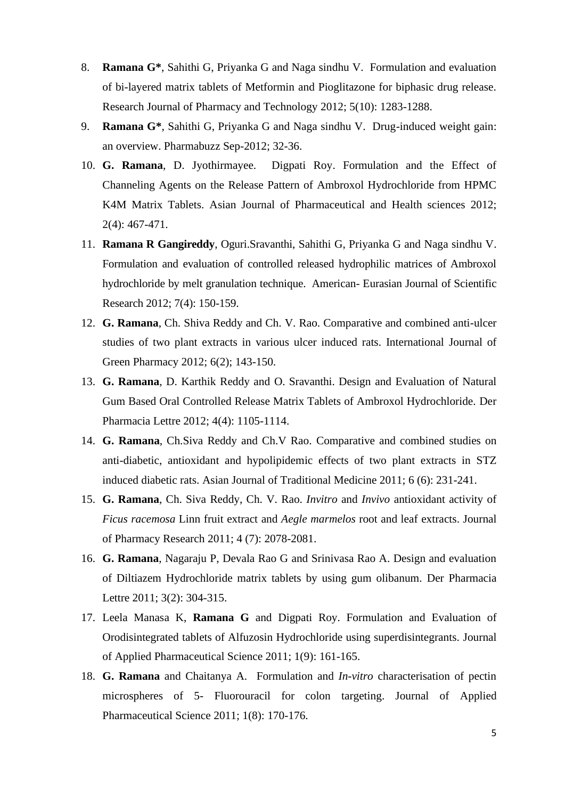- 8. **Ramana G\***, Sahithi G, Priyanka G and Naga sindhu V. Formulation and evaluation of bi-layered matrix tablets of Metformin and Pioglitazone for biphasic drug release. Research Journal of Pharmacy and Technology 2012; 5(10): 1283-1288.
- 9. **Ramana G\***, Sahithi G, Priyanka G and Naga sindhu V. Drug-induced weight gain: an overview. Pharmabuzz Sep-2012; 32-36.
- 10. **G. Ramana**, D. Jyothirmayee. Digpati Roy. Formulation and the Effect of Channeling Agents on the Release Pattern of Ambroxol Hydrochloride from HPMC K4M Matrix Tablets. Asian Journal of Pharmaceutical and Health sciences 2012; 2(4): 467-471.
- 11. **Ramana R Gangireddy**, Oguri.Sravanthi, Sahithi G, Priyanka G and Naga sindhu V. Formulation and evaluation of controlled released hydrophilic matrices of Ambroxol hydrochloride by melt granulation technique. American- Eurasian Journal of Scientific Research 2012; 7(4): 150-159.
- 12. **G. Ramana**, Ch. Shiva Reddy and Ch. V. Rao. Comparative and combined anti-ulcer studies of two plant extracts in various ulcer induced rats. International Journal of Green Pharmacy 2012; 6(2); 143-150.
- 13. **G. Ramana**, D. Karthik Reddy and O. Sravanthi. Design and Evaluation of Natural Gum Based Oral Controlled Release Matrix Tablets of Ambroxol Hydrochloride. Der Pharmacia Lettre 2012; 4(4): 1105-1114.
- 14. **G. Ramana**, Ch.Siva Reddy and Ch.V Rao. Comparative and combined studies on anti-diabetic, antioxidant and hypolipidemic effects of two plant extracts in STZ induced diabetic rats. Asian Journal of Traditional Medicine 2011; 6 (6): 231-241.
- 15. **G. Ramana**, Ch. Siva Reddy, Ch. V. Rao. *Invitro* and *Invivo* antioxidant activity of *Ficus racemosa* Linn fruit extract and *Aegle marmelos* root and leaf extracts. Journal of Pharmacy Research 2011; 4 (7): 2078-2081.
- 16. **G. Ramana**, Nagaraju P, Devala Rao G and Srinivasa Rao A. Design and evaluation of Diltiazem Hydrochloride matrix tablets by using gum olibanum. Der Pharmacia Lettre 2011; 3(2): 304-315.
- 17. Leela Manasa K, **Ramana G** and Digpati Roy. Formulation and Evaluation of Orodisintegrated tablets of Alfuzosin Hydrochloride using superdisintegrants. Journal of Applied Pharmaceutical Science 2011; 1(9): 161-165.
- 18. **G. Ramana** and Chaitanya A. Formulation and *In-vitro* characterisation of pectin microspheres of 5- Fluorouracil for colon targeting. Journal of Applied Pharmaceutical Science 2011; 1(8): 170-176.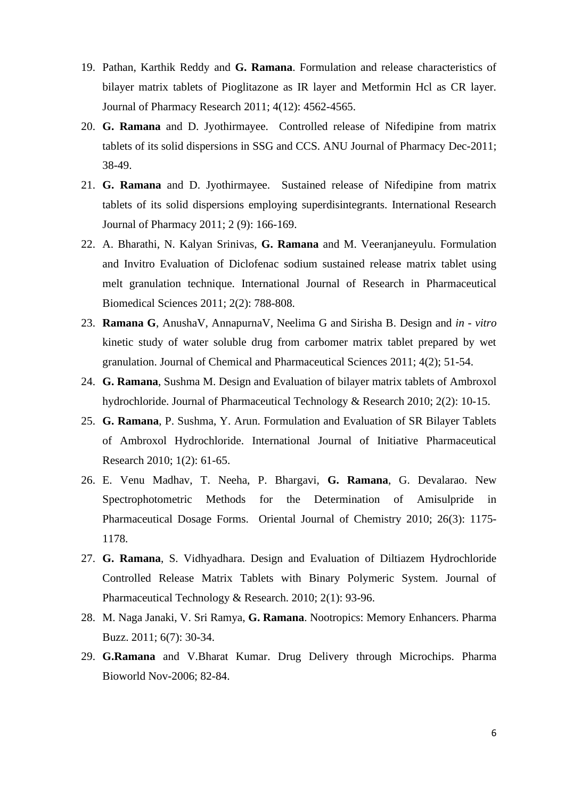- 19. Pathan, Karthik Reddy and **G. Ramana**. Formulation and release characteristics of bilayer matrix tablets of Pioglitazone as IR layer and Metformin Hcl as CR layer. Journal of Pharmacy Research 2011; 4(12): 4562-4565.
- 20. **G. Ramana** and D. Jyothirmayee. Controlled release of Nifedipine from matrix tablets of its solid dispersions in SSG and CCS. ANU Journal of Pharmacy Dec-2011; 38-49.
- 21. **G. Ramana** and D. Jyothirmayee. Sustained release of Nifedipine from matrix tablets of its solid dispersions employing superdisintegrants. International Research Journal of Pharmacy 2011; 2 (9): 166-169.
- 22. A. Bharathi, N. Kalyan Srinivas, **G. Ramana** and M. Veeranjaneyulu. Formulation and Invitro Evaluation of Diclofenac sodium sustained release matrix tablet using melt granulation technique. International Journal of Research in Pharmaceutical Biomedical Sciences 2011; 2(2): 788-808.
- 23. **Ramana G**, AnushaV, AnnapurnaV, Neelima G and Sirisha B. Design and *in - vitro* kinetic study of water soluble drug from carbomer matrix tablet prepared by wet granulation. Journal of Chemical and Pharmaceutical Sciences 2011; 4(2); 51-54.
- 24. **G. Ramana**, Sushma M. Design and Evaluation of bilayer matrix tablets of Ambroxol hydrochloride. Journal of Pharmaceutical Technology & Research 2010; 2(2): 10-15.
- 25. **G. Ramana**, P. Sushma, Y. Arun. Formulation and Evaluation of SR Bilayer Tablets of Ambroxol Hydrochloride. International Journal of Initiative Pharmaceutical Research 2010; 1(2): 61-65.
- 26. E. Venu Madhav, T. Neeha, P. Bhargavi, **G. Ramana**, G. Devalarao. New Spectrophotometric Methods for the Determination of Amisulpride in Pharmaceutical Dosage Forms. Oriental Journal of Chemistry 2010; 26(3): 1175- 1178.
- 27. **G. Ramana**, S. Vidhyadhara. Design and Evaluation of Diltiazem Hydrochloride Controlled Release Matrix Tablets with Binary Polymeric System. Journal of Pharmaceutical Technology & Research. 2010; 2(1): 93-96.
- 28. M. Naga Janaki, V. Sri Ramya, **G. Ramana**. Nootropics: Memory Enhancers. Pharma Buzz. 2011; 6(7): 30-34.
- 29. **G.Ramana** and V.Bharat Kumar. Drug Delivery through Microchips. Pharma Bioworld Nov-2006; 82-84.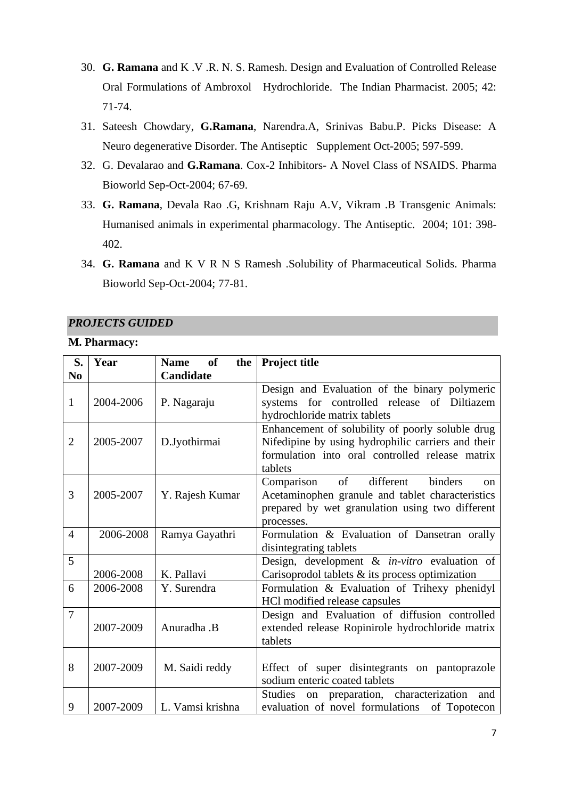- 30. **G. Ramana** and K .V .R. N. S. Ramesh. Design and Evaluation of Controlled Release Oral Formulations of Ambroxol Hydrochloride. The Indian Pharmacist. 2005; 42: 71-74.
- 31. Sateesh Chowdary, **G.Ramana**, Narendra.A, Srinivas Babu.P. Picks Disease: A Neuro degenerative Disorder. The Antiseptic Supplement Oct-2005; 597-599.
- 32. G. Devalarao and **G.Ramana**. Cox-2 Inhibitors- A Novel Class of NSAIDS. Pharma Bioworld Sep-Oct-2004; 67-69.
- 33. **G. Ramana**, Devala Rao .G, Krishnam Raju A.V, Vikram .B Transgenic Animals: Humanised animals in experimental pharmacology. The Antiseptic. 2004; 101: 398- 402.
- 34. **G. Ramana** and K V R N S Ramesh .Solubility of Pharmaceutical Solids. Pharma Bioworld Sep-Oct-2004; 77-81.

### *PROJECTS GUIDED*

#### **M. Pharmacy:**

| S.             | Year      | of<br><b>Name</b><br>the | <b>Project title</b>                                                                                                                                                        |
|----------------|-----------|--------------------------|-----------------------------------------------------------------------------------------------------------------------------------------------------------------------------|
| N <sub>0</sub> |           | Candidate                |                                                                                                                                                                             |
| $\mathbf{1}$   | 2004-2006 | P. Nagaraju              | Design and Evaluation of the binary polymeric<br>systems for controlled release of Diltiazem<br>hydrochloride matrix tablets                                                |
| $\overline{2}$ | 2005-2007 | D.Jyothirmai             | Enhancement of solubility of poorly soluble drug<br>Nifedipine by using hydrophilic carriers and their<br>formulation into oral controlled release matrix<br>tablets        |
| 3              | 2005-2007 | Y. Rajesh Kumar          | $\sigma f$<br>binders<br>different<br>Comparison<br>on<br>Acetaminophen granule and tablet characteristics<br>prepared by wet granulation using two different<br>processes. |
| $\overline{4}$ | 2006-2008 | Ramya Gayathri           | Formulation & Evaluation of Dansetran orally<br>disintegrating tablets                                                                                                      |
| 5              | 2006-2008 | K. Pallavi               | Design, development & in-vitro evaluation of<br>Carisoprodol tablets $\&$ its process optimization                                                                          |
| 6              | 2006-2008 | Y. Surendra              | Formulation & Evaluation of Trihexy phenidyl<br>HCl modified release capsules                                                                                               |
| $\overline{7}$ | 2007-2009 | Anuradha .B              | Design and Evaluation of diffusion controlled<br>extended release Ropinirole hydrochloride matrix<br>tablets                                                                |
| 8              | 2007-2009 | M. Saidi reddy           | Effect of super disintegrants on pantoprazole<br>sodium enteric coated tablets                                                                                              |
| 9              | 2007-2009 | L. Vamsi krishna         | on preparation, characterization and<br>Studies<br>evaluation of novel formulations of Topotecon                                                                            |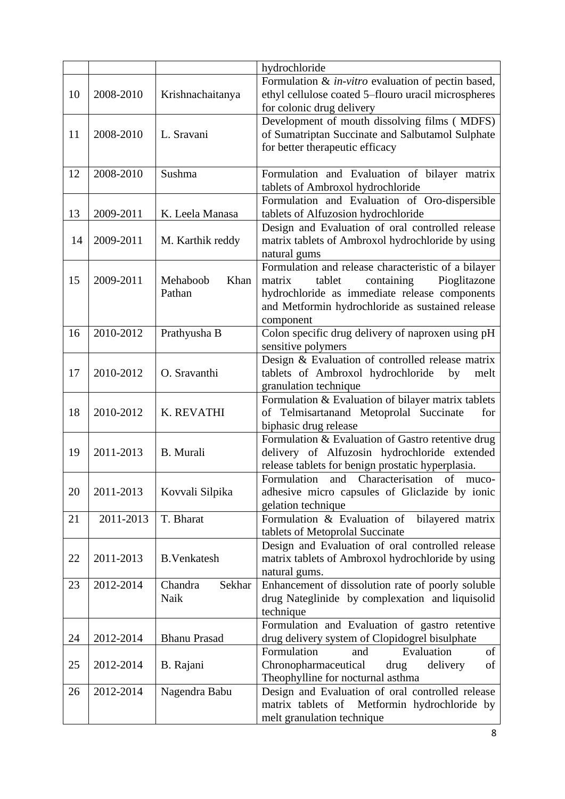|    |           |                            | hydrochloride                                                                                                                                                                                                           |
|----|-----------|----------------------------|-------------------------------------------------------------------------------------------------------------------------------------------------------------------------------------------------------------------------|
| 10 | 2008-2010 | Krishnachaitanya           | Formulation & in-vitro evaluation of pectin based,<br>ethyl cellulose coated 5-flouro uracil microspheres<br>for colonic drug delivery                                                                                  |
| 11 | 2008-2010 | L. Sravani                 | Development of mouth dissolving films (MDFS)<br>of Sumatriptan Succinate and Salbutamol Sulphate<br>for better therapeutic efficacy                                                                                     |
| 12 | 2008-2010 | Sushma                     | Formulation and Evaluation of bilayer matrix<br>tablets of Ambroxol hydrochloride                                                                                                                                       |
| 13 | 2009-2011 | K. Leela Manasa            | Formulation and Evaluation of Oro-dispersible<br>tablets of Alfuzosion hydrochloride                                                                                                                                    |
| 14 | 2009-2011 | M. Karthik reddy           | Design and Evaluation of oral controlled release<br>matrix tablets of Ambroxol hydrochloride by using<br>natural gums                                                                                                   |
| 15 | 2009-2011 | Mehaboob<br>Khan<br>Pathan | Formulation and release characteristic of a bilayer<br>Pioglitazone<br>tablet<br>containing<br>matrix<br>hydrochloride as immediate release components<br>and Metformin hydrochloride as sustained release<br>component |
| 16 | 2010-2012 | Prathyusha B               | Colon specific drug delivery of naproxen using pH<br>sensitive polymers                                                                                                                                                 |
| 17 | 2010-2012 | O. Sravanthi               | Design & Evaluation of controlled release matrix<br>tablets of Ambroxol hydrochloride<br>by<br>melt<br>granulation technique                                                                                            |
| 18 | 2010-2012 | K. REVATHI                 | Formulation & Evaluation of bilayer matrix tablets<br>of Telmisartanand Metoprolal Succinate<br>for<br>biphasic drug release                                                                                            |
| 19 | 2011-2013 | <b>B.</b> Murali           | Formulation & Evaluation of Gastro retentive drug<br>delivery of Alfuzosin hydrochloride extended<br>release tablets for benign prostatic hyperplasia.                                                                  |
| 20 | 2011-2013 | Kovvali Silpika            | Formulation<br>and Characterisation of<br>muco-<br>adhesive micro capsules of Gliclazide by ionic<br>gelation technique                                                                                                 |
| 21 | 2011-2013 | T. Bharat                  | Formulation & Evaluation of<br>bilayered matrix<br>tablets of Metoprolal Succinate                                                                                                                                      |
| 22 | 2011-2013 | <b>B.Venkatesh</b>         | Design and Evaluation of oral controlled release<br>matrix tablets of Ambroxol hydrochloride by using<br>natural gums.                                                                                                  |
| 23 | 2012-2014 | Chandra<br>Sekhar<br>Naik  | Enhancement of dissolution rate of poorly soluble<br>drug Nateglinide by complexation and liquisolid<br>technique                                                                                                       |
| 24 | 2012-2014 | <b>Bhanu Prasad</b>        | Formulation and Evaluation of gastro retentive<br>drug delivery system of Clopidogrel bisulphate                                                                                                                        |
| 25 | 2012-2014 | B. Rajani                  | Formulation<br>Evaluation<br>and<br>of<br>Chronopharmaceutical<br>delivery<br>drug<br>of<br>Theophylline for nocturnal asthma                                                                                           |
| 26 | 2012-2014 | Nagendra Babu              | Design and Evaluation of oral controlled release<br>matrix tablets of Metformin hydrochloride by<br>melt granulation technique                                                                                          |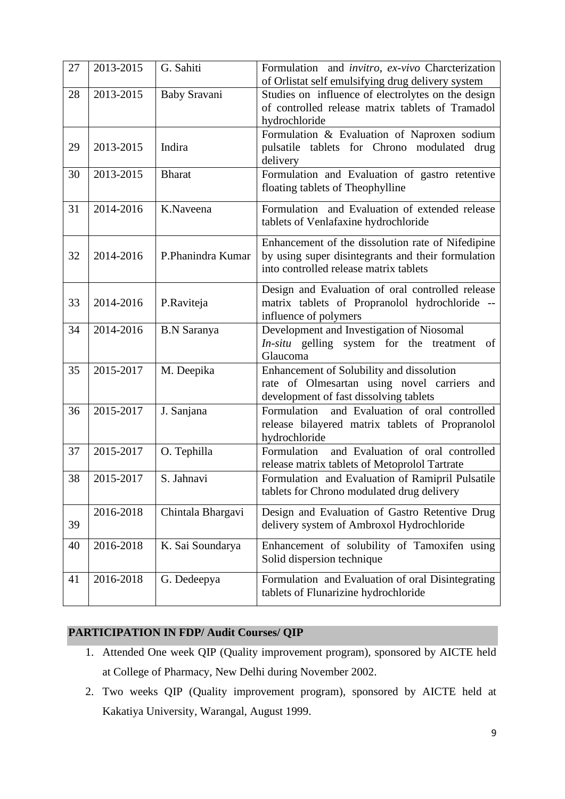| 27 | 2013-2015 | G. Sahiti           | Formulation and invitro, ex-vivo Charcterization<br>of Orlistat self emulsifying drug delivery system                                             |
|----|-----------|---------------------|---------------------------------------------------------------------------------------------------------------------------------------------------|
| 28 | 2013-2015 | <b>Baby Sravani</b> | Studies on influence of electrolytes on the design<br>of controlled release matrix tablets of Tramadol<br>hydrochloride                           |
| 29 | 2013-2015 | Indira              | Formulation & Evaluation of Naproxen sodium<br>pulsatile tablets for Chrono modulated drug<br>delivery                                            |
| 30 | 2013-2015 | <b>Bharat</b>       | Formulation and Evaluation of gastro retentive<br>floating tablets of Theophylline                                                                |
| 31 | 2014-2016 | K.Naveena           | Formulation and Evaluation of extended release<br>tablets of Venlafaxine hydrochloride                                                            |
| 32 | 2014-2016 | P.Phanindra Kumar   | Enhancement of the dissolution rate of Nifedipine<br>by using super disintegrants and their formulation<br>into controlled release matrix tablets |
| 33 | 2014-2016 | P.Raviteja          | Design and Evaluation of oral controlled release<br>matrix tablets of Propranolol hydrochloride --<br>influence of polymers                       |
| 34 | 2014-2016 | <b>B.N</b> Saranya  | Development and Investigation of Niosomal<br>In-situ gelling system for the treatment of<br>Glaucoma                                              |
| 35 | 2015-2017 | M. Deepika          | Enhancement of Solubility and dissolution<br>rate of Olmesartan using novel carriers<br>and<br>development of fast dissolving tablets             |
| 36 | 2015-2017 | J. Sanjana          | Formulation<br>and Evaluation of oral controlled<br>release bilayered matrix tablets of Propranolol<br>hydrochloride                              |
| 37 | 2015-2017 | O. Tephilla         | and Evaluation of oral controlled<br>Formulation<br>release matrix tablets of Metoprolol Tartrate                                                 |
| 38 | 2015-2017 | S. Jahnavi          | Formulation and Evaluation of Ramipril Pulsatile<br>tablets for Chrono modulated drug delivery                                                    |
| 39 | 2016-2018 | Chintala Bhargavi   | Design and Evaluation of Gastro Retentive Drug<br>delivery system of Ambroxol Hydrochloride                                                       |
| 40 | 2016-2018 | K. Sai Soundarya    | Enhancement of solubility of Tamoxifen using<br>Solid dispersion technique                                                                        |
| 41 | 2016-2018 | G. Dedeepya         | Formulation and Evaluation of oral Disintegrating<br>tablets of Flunarizine hydrochloride                                                         |

# **PARTICIPATION IN FDP/ Audit Courses/ QIP**

- 1. Attended One week QIP (Quality improvement program), sponsored by AICTE held at College of Pharmacy, New Delhi during November 2002.
- 2. Two weeks QIP (Quality improvement program), sponsored by AICTE held at Kakatiya University, Warangal, August 1999.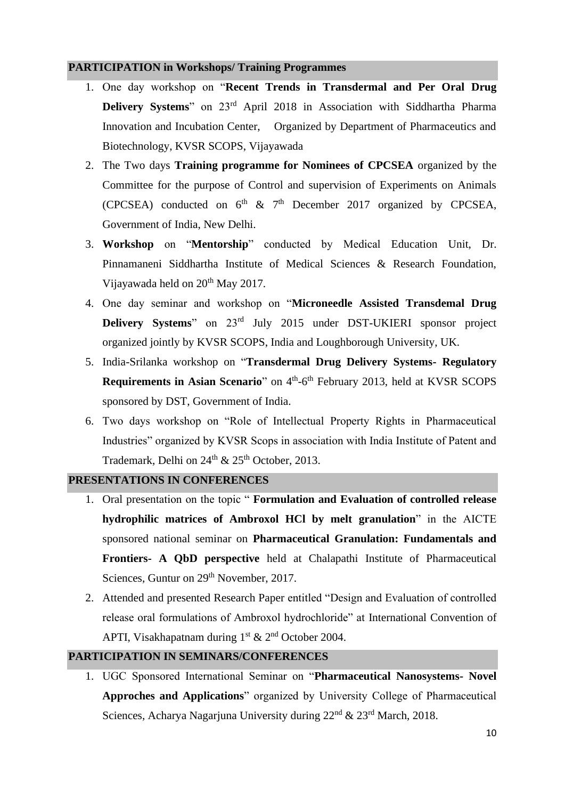#### **PARTICIPATION in Workshops/ Training Programmes**

- 1. One day workshop on "**Recent Trends in Transdermal and Per Oral Drug Delivery Systems**" on 23rd April 2018 in Association with Siddhartha Pharma Innovation and Incubation Center, Organized by Department of Pharmaceutics and Biotechnology, KVSR SCOPS, Vijayawada
- 2. The Two days **Training programme for Nominees of CPCSEA** organized by the Committee for the purpose of Control and supervision of Experiments on Animals (CPCSEA) conducted on  $6^{th}$  &  $7^{th}$  December 2017 organized by CPCSEA, Government of India, New Delhi.
- 3. **Workshop** on "**Mentorship**" conducted by Medical Education Unit, Dr. Pinnamaneni Siddhartha Institute of Medical Sciences & Research Foundation, Vijayawada held on 20<sup>th</sup> May 2017.
- 4. One day seminar and workshop on "**Microneedle Assisted Transdemal Drug Delivery Systems**" on 23rd July 2015 under DST-UKIERI sponsor project organized jointly by KVSR SCOPS, India and Loughborough University, UK.
- 5. India-Srilanka workshop on "**Transdermal Drug Delivery Systems- Regulatory Requirements in Asian Scenario**" on 4<sup>th</sup>-6<sup>th</sup> February 2013, held at KVSR SCOPS sponsored by DST, Government of India.
- 6. Two days workshop on "Role of Intellectual Property Rights in Pharmaceutical Industries" organized by KVSR Scops in association with India Institute of Patent and Trademark, Delhi on  $24<sup>th</sup>$  &  $25<sup>th</sup>$  October, 2013.

#### **PRESENTATIONS IN CONFERENCES**

- 1. Oral presentation on the topic " **Formulation and Evaluation of controlled release hydrophilic matrices of Ambroxol HCl by melt granulation**" in the AICTE sponsored national seminar on **Pharmaceutical Granulation: Fundamentals and Frontiers- A QbD perspective** held at Chalapathi Institute of Pharmaceutical Sciences, Guntur on 29<sup>th</sup> November, 2017.
- 2. Attended and presented Research Paper entitled "Design and Evaluation of controlled release oral formulations of Ambroxol hydrochloride" at International Convention of APTI, Visakhapatnam during  $1<sup>st</sup>$  &  $2<sup>nd</sup>$  October 2004.

### **PARTICIPATION IN SEMINARS/CONFERENCES**

1. UGC Sponsored International Seminar on "**Pharmaceutical Nanosystems- Novel Approches and Applications**" organized by University College of Pharmaceutical Sciences, Acharya Nagarjuna University during 22<sup>nd</sup> & 23<sup>rd</sup> March, 2018.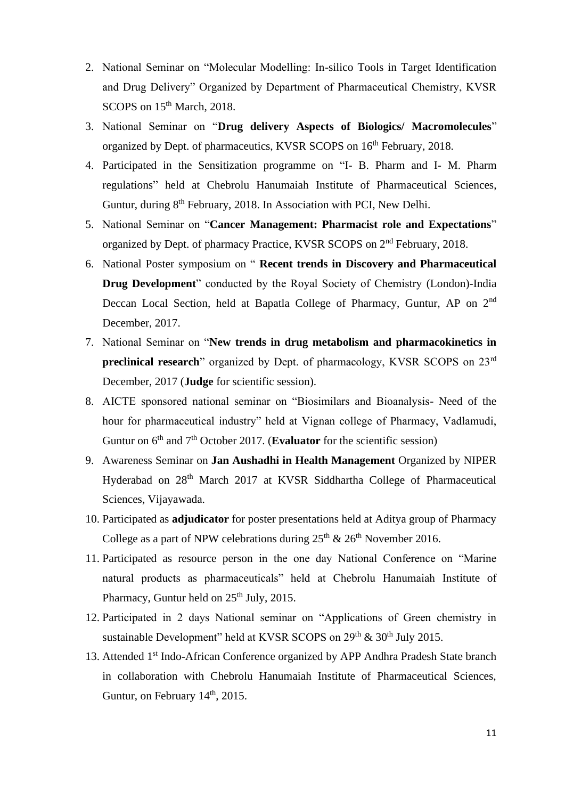- 2. National Seminar on "Molecular Modelling: In-silico Tools in Target Identification and Drug Delivery" Organized by Department of Pharmaceutical Chemistry, KVSR SCOPS on 15<sup>th</sup> March, 2018.
- 3. National Seminar on "**Drug delivery Aspects of Biologics/ Macromolecules**" organized by Dept. of pharmaceutics, KVSR SCOPS on 16th February, 2018.
- 4. Participated in the Sensitization programme on "I- B. Pharm and I- M. Pharm regulations" held at Chebrolu Hanumaiah Institute of Pharmaceutical Sciences, Guntur, during 8<sup>th</sup> February, 2018. In Association with PCI, New Delhi.
- 5. National Seminar on "**Cancer Management: Pharmacist role and Expectations**" organized by Dept. of pharmacy Practice, KVSR SCOPS on 2nd February, 2018.
- 6. National Poster symposium on " **Recent trends in Discovery and Pharmaceutical Drug Development**" conducted by the Royal Society of Chemistry (London)-India Deccan Local Section, held at Bapatla College of Pharmacy, Guntur, AP on 2<sup>nd</sup> December, 2017.
- 7. National Seminar on "**New trends in drug metabolism and pharmacokinetics in preclinical research**" organized by Dept. of pharmacology, KVSR SCOPS on 23<sup>rd</sup> December, 2017 (**Judge** for scientific session).
- 8. AICTE sponsored national seminar on "Biosimilars and Bioanalysis- Need of the hour for pharmaceutical industry" held at Vignan college of Pharmacy, Vadlamudi, Guntur on  $6<sup>th</sup>$  and  $7<sup>th</sup>$  October 2017. (**Evaluator** for the scientific session)
- 9. Awareness Seminar on **Jan Aushadhi in Health Management** Organized by NIPER Hyderabad on 28<sup>th</sup> March 2017 at KVSR Siddhartha College of Pharmaceutical Sciences, Vijayawada.
- 10. Participated as **adjudicator** for poster presentations held at Aditya group of Pharmacy College as a part of NPW celebrations during  $25<sup>th</sup>$  &  $26<sup>th</sup>$  November 2016.
- 11. Participated as resource person in the one day National Conference on "Marine natural products as pharmaceuticals" held at Chebrolu Hanumaiah Institute of Pharmacy, Guntur held on  $25<sup>th</sup>$  July, 2015.
- 12. Participated in 2 days National seminar on "Applications of Green chemistry in sustainable Development" held at KVSR SCOPS on 29<sup>th</sup> & 30<sup>th</sup> July 2015.
- 13. Attended 1<sup>st</sup> Indo-African Conference organized by APP Andhra Pradesh State branch in collaboration with Chebrolu Hanumaiah Institute of Pharmaceutical Sciences, Guntur, on February 14<sup>th</sup>, 2015.